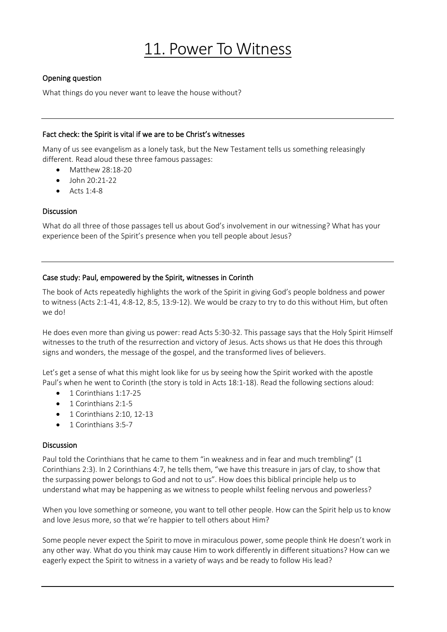# 11. Power To Witness

# Opening question

What things do you never want to leave the house without?

#### Fact check: the Spirit is vital if we are to be Christ's witnesses

Many of us see evangelism as a lonely task, but the New Testament tells us something releasingly different. Read aloud these three famous passages:

- Matthew 28:18-20
- $\bullet$  John 20:21-22
- Acts 1:4-8

## Discussion

What do all three of those passages tell us about God's involvement in our witnessing? What has your experience been of the Spirit's presence when you tell people about Jesus?

## Case study: Paul, empowered by the Spirit, witnesses in Corinth

The book of Acts repeatedly highlights the work of the Spirit in giving God's people boldness and power to witness (Acts 2:1-41, 4:8-12, 8:5, 13:9-12). We would be crazy to try to do this without Him, but often we do!

He does even more than giving us power: read Acts 5:30-32. This passage says that the Holy Spirit Himself witnesses to the truth of the resurrection and victory of Jesus. Acts shows us that He does this through signs and wonders, the message of the gospel, and the transformed lives of believers.

Let's get a sense of what this might look like for us by seeing how the Spirit worked with the apostle Paul's when he went to Corinth (the story is told in Acts 18:1-18). Read the following sections aloud:

- 1 Corinthians 1:17-25
- 1 Corinthians 2:1-5
- 1 Corinthians 2:10, 12-13
- 1 Corinthians 3:5-7

#### Discussion

Paul told the Corinthians that he came to them "in weakness and in fear and much trembling" (1 Corinthians 2:3). In 2 Corinthians 4:7, he tells them, "we have this treasure in jars of clay, to show that the surpassing power belongs to God and not to us". How does this biblical principle help us to understand what may be happening as we witness to people whilst feeling nervous and powerless?

When you love something or someone, you want to tell other people. How can the Spirit help us to know and love Jesus more, so that we're happier to tell others about Him?

Some people never expect the Spirit to move in miraculous power, some people think He doesn't work in any other way. What do you think may cause Him to work differently in different situations? How can we eagerly expect the Spirit to witness in a variety of ways and be ready to follow His lead?